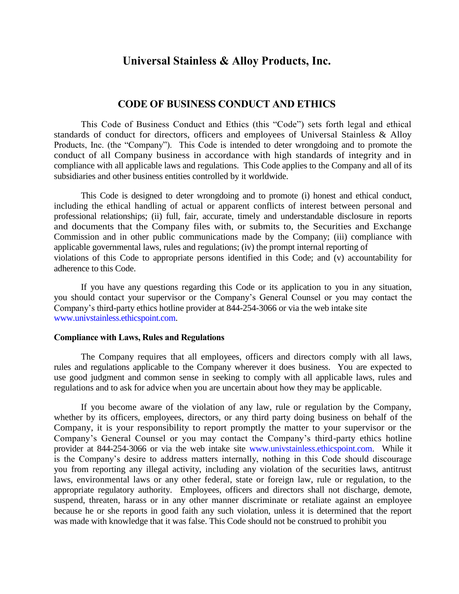# **Universal Stainless & Alloy Products, Inc.**

# **CODE OF BUSINESS CONDUCT AND ETHICS**

This Code of Business Conduct and Ethics (this "Code") sets forth legal and ethical standards of conduct for directors, officers and employees of Universal Stainless & Alloy Products, Inc. (the "Company"). This Code is intended to deter wrongdoing and to promote the conduct of all Company business in accordance with high standards of integrity and in compliance with all applicable laws and regulations. This Code applies to the Company and all of its subsidiaries and other business entities controlled by it worldwide.

This Code is designed to deter wrongdoing and to promote (i) honest and ethical conduct, including the ethical handling of actual or apparent conflicts of interest between personal and professional relationships; (ii) full, fair, accurate, timely and understandable disclosure in reports and documents that the Company files with, or submits to, the Securities and Exchange Commission and in other public communications made by the Company; (iii) compliance with applicable governmental laws, rules and regulations; (iv) the prompt internal reporting of violations of this Code to appropriate persons identified in this Code; and (v) accountability for adherence to this Code.

If you have any questions regarding this Code or its application to you in any situation, you should contact your supervisor or the Company's General Counsel or you may contact the Company's third-party ethics hotline provider at 844-254-3066 or via the web intake site www.univstainless.ethicspoint.com.

# **Compliance with Laws, Rules and Regulations**

The Company requires that all employees, officers and directors comply with all laws, rules and regulations applicable to the Company wherever it does business. You are expected to use good judgment and common sense in seeking to comply with all applicable laws, rules and regulations and to ask for advice when you are uncertain about how they may be applicable.

If you become aware of the violation of any law, rule or regulation by the Company, whether by its officers, employees, directors, or any third party doing business on behalf of the Company, it is your responsibility to report promptly the matter to your supervisor or the Company's General Counsel or you may contact the Company's third-party ethics hotline provider at 844-254-3066 or via the web intake site www.univstainless.ethicspoint.com. While it is the Company's desire to address matters internally, nothing in this Code should discourage you from reporting any illegal activity, including any violation of the securities laws, antitrust laws, environmental laws or any other federal, state or foreign law, rule or regulation, to the appropriate regulatory authority. Employees, officers and directors shall not discharge, demote, suspend, threaten, harass or in any other manner discriminate or retaliate against an employee because he or she reports in good faith any such violation, unless it is determined that the report was made with knowledge that it was false. This Code should not be construed to prohibit you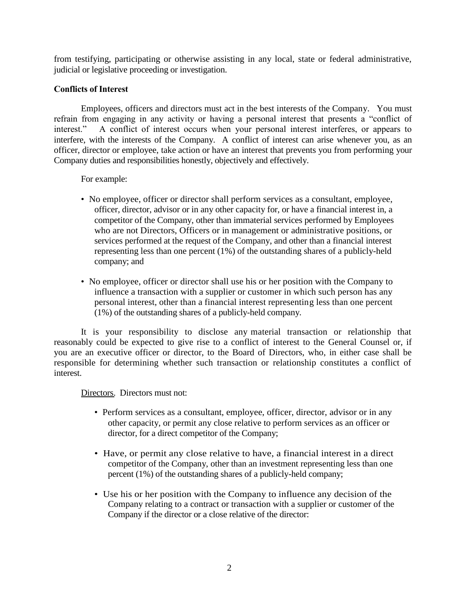from testifying, participating or otherwise assisting in any local, state or federal administrative, judicial or legislative proceeding or investigation.

# **Conflicts of Interest**

Employees, officers and directors must act in the best interests of the Company. You must refrain from engaging in any activity or having a personal interest that presents a "conflict of interest." A conflict of interest occurs when your personal interest interferes, or appears to interfere, with the interests of the Company. A conflict of interest can arise whenever you, as an officer, director or employee, take action or have an interest that prevents you from performing your Company duties and responsibilities honestly, objectively and effectively.

For example:

- No employee, officer or director shall perform services as a consultant, employee, officer, director, advisor or in any other capacity for, or have a financial interest in, a competitor of the Company, other than immaterial services performed by Employees who are not Directors, Officers or in management or administrative positions, or services performed at the request of the Company, and other than a financial interest representing less than one percent (1%) of the outstanding shares of a publicly-held company; and
- No employee, officer or director shall use his or her position with the Company to influence a transaction with a supplier or customer in which such person has any personal interest, other than a financial interest representing less than one percent (1%) of the outstanding shares of a publicly-held company.

It is your responsibility to disclose any material transaction or relationship that reasonably could be expected to give rise to a conflict of interest to the General Counsel or, if you are an executive officer or director, to the Board of Directors, who, in either case shall be responsible for determining whether such transaction or relationship constitutes a conflict of interest.

Directors. Directors must not:

- Perform services as a consultant, employee, officer, director, advisor or in any other capacity, or permit any close relative to perform services as an officer or director, for a direct competitor of the Company;
- Have, or permit any close relative to have, a financial interest in a direct competitor of the Company, other than an investment representing less than one percent (1%) of the outstanding shares of a publicly-held company;
- Use his or her position with the Company to influence any decision of the Company relating to a contract or transaction with a supplier or customer of the Company if the director or a close relative of the director: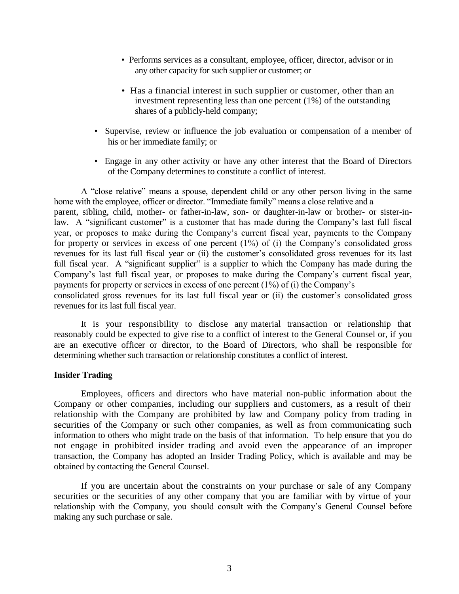- Performs services as a consultant, employee, officer, director, advisor or in any other capacity for such supplier or customer; or
- Has a financial interest in such supplier or customer, other than an investment representing less than one percent (1%) of the outstanding shares of a publicly-held company;
- Supervise, review or influence the job evaluation or compensation of a member of his or her immediate family; or
- Engage in any other activity or have any other interest that the Board of Directors of the Company determines to constitute a conflict of interest.

A "close relative" means a spouse, dependent child or any other person living in the same home with the employee, officer or director. "Immediate family" means a close relative and a parent, sibling, child, mother- or father-in-law, son- or daughter-in-law or brother- or sister-inlaw. A "significant customer" is a customer that has made during the Company's last full fiscal year, or proposes to make during the Company's current fiscal year, payments to the Company for property or services in excess of one percent  $(1\%)$  of (i) the Company's consolidated gross revenues for its last full fiscal year or (ii) the customer's consolidated gross revenues for its last full fiscal year. A "significant supplier" is a supplier to which the Company has made during the Company's last full fiscal year, or proposes to make during the Company's current fiscal year, payments for property or services in excess of one percent (1%) of (i) the Company's consolidated gross revenues for its last full fiscal year or (ii) the customer's consolidated gross revenues for its last full fiscal year.

It is your responsibility to disclose any material transaction or relationship that reasonably could be expected to give rise to a conflict of interest to the General Counsel or, if you are an executive officer or director, to the Board of Directors, who shall be responsible for determining whether such transaction or relationship constitutes a conflict of interest.

# **Insider Trading**

Employees, officers and directors who have material non-public information about the Company or other companies, including our suppliers and customers, as a result of their relationship with the Company are prohibited by law and Company policy from trading in securities of the Company or such other companies, as well as from communicating such information to others who might trade on the basis of that information. To help ensure that you do not engage in prohibited insider trading and avoid even the appearance of an improper transaction, the Company has adopted an Insider Trading Policy, which is available and may be obtained by contacting the General Counsel.

If you are uncertain about the constraints on your purchase or sale of any Company securities or the securities of any other company that you are familiar with by virtue of your relationship with the Company, you should consult with the Company's General Counsel before making any such purchase or sale.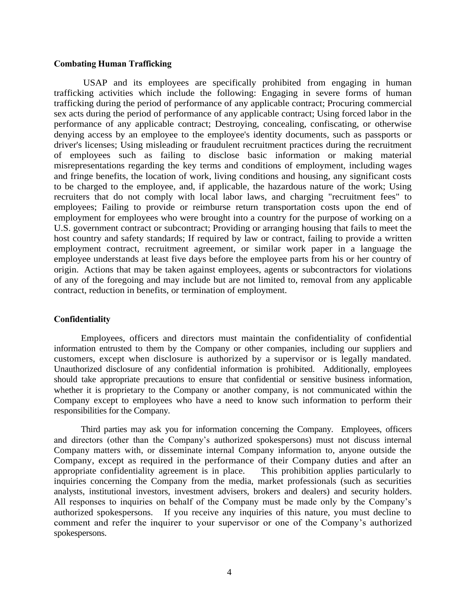# **Combating Human Trafficking**

USAP and its employees are specifically prohibited from engaging in human trafficking activities which include the following: Engaging in severe forms of human trafficking during the period of performance of any applicable contract; Procuring commercial sex acts during the period of performance of any applicable contract; Using forced labor in the performance of any applicable contract; Destroying, concealing, confiscating, or otherwise denying access by an employee to the employee's identity documents, such as passports or driver's licenses; Using misleading or fraudulent recruitment practices during the recruitment of employees such as failing to disclose basic information or making material misrepresentations regarding the key terms and conditions of employment, including wages and fringe benefits, the location of work, living conditions and housing, any significant costs to be charged to the employee, and, if applicable, the hazardous nature of the work; Using recruiters that do not comply with local labor laws, and charging "recruitment fees" to employees; Failing to provide or reimburse return transportation costs upon the end of employment for employees who were brought into a country for the purpose of working on a U.S. government contract or subcontract; Providing or arranging housing that fails to meet the host country and safety standards; If required by law or contract, failing to provide a written employment contract, recruitment agreement, or similar work paper in a language the employee understands at least five days before the employee parts from his or her country of origin. Actions that may be taken against employees, agents or subcontractors for violations of any of the foregoing and may include but are not limited to, removal from any applicable contract, reduction in benefits, or termination of employment.

# **Confidentiality**

Employees, officers and directors must maintain the confidentiality of confidential information entrusted to them by the Company or other companies, including our suppliers and customers, except when disclosure is authorized by a supervisor or is legally mandated. Unauthorized disclosure of any confidential information is prohibited. Additionally, employees should take appropriate precautions to ensure that confidential or sensitive business information, whether it is proprietary to the Company or another company, is not communicated within the Company except to employees who have a need to know such information to perform their responsibilities for the Company.

Third parties may ask you for information concerning the Company. Employees, officers and directors (other than the Company's authorized spokespersons) must not discuss internal Company matters with, or disseminate internal Company information to, anyone outside the Company, except as required in the performance of their Company duties and after an appropriate confidentiality agreement is in place. This prohibition applies particularly to inquiries concerning the Company from the media, market professionals (such as securities analysts, institutional investors, investment advisers, brokers and dealers) and security holders. All responses to inquiries on behalf of the Company must be made only by the Company's authorized spokespersons. If you receive any inquiries of this nature, you must decline to comment and refer the inquirer to your supervisor or one of the Company's authorized spokespersons.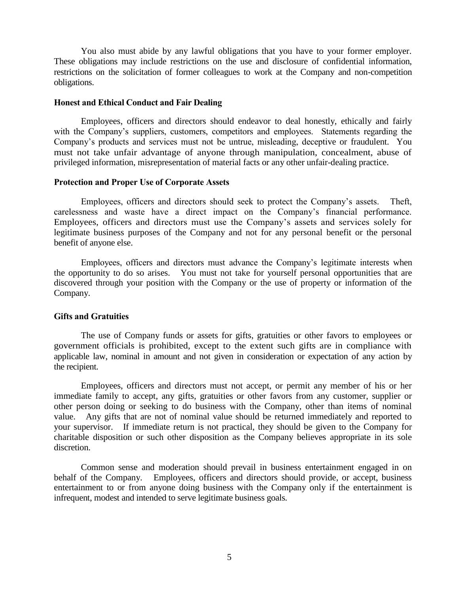You also must abide by any lawful obligations that you have to your former employer. These obligations may include restrictions on the use and disclosure of confidential information, restrictions on the solicitation of former colleagues to work at the Company and non-competition obligations.

#### **Honest and Ethical Conduct and Fair Dealing**

Employees, officers and directors should endeavor to deal honestly, ethically and fairly with the Company's suppliers, customers, competitors and employees. Statements regarding the Company's products and services must not be untrue, misleading, deceptive or fraudulent. You must not take unfair advantage of anyone through manipulation, concealment, abuse of privileged information, misrepresentation of material facts or any other unfair-dealing practice.

#### **Protection and Proper Use of Corporate Assets**

Employees, officers and directors should seek to protect the Company's assets. Theft, carelessness and waste have a direct impact on the Company's financial performance. Employees, officers and directors must use the Company's assets and services solely for legitimate business purposes of the Company and not for any personal benefit or the personal benefit of anyone else.

Employees, officers and directors must advance the Company's legitimate interests when the opportunity to do so arises. You must not take for yourself personal opportunities that are discovered through your position with the Company or the use of property or information of the Company.

# **Gifts and Gratuities**

The use of Company funds or assets for gifts, gratuities or other favors to employees or government officials is prohibited, except to the extent such gifts are in compliance with applicable law, nominal in amount and not given in consideration or expectation of any action by the recipient.

Employees, officers and directors must not accept, or permit any member of his or her immediate family to accept, any gifts, gratuities or other favors from any customer, supplier or other person doing or seeking to do business with the Company, other than items of nominal value. Any gifts that are not of nominal value should be returned immediately and reported to your supervisor. If immediate return is not practical, they should be given to the Company for charitable disposition or such other disposition as the Company believes appropriate in its sole discretion.

Common sense and moderation should prevail in business entertainment engaged in on behalf of the Company. Employees, officers and directors should provide, or accept, business entertainment to or from anyone doing business with the Company only if the entertainment is infrequent, modest and intended to serve legitimate business goals.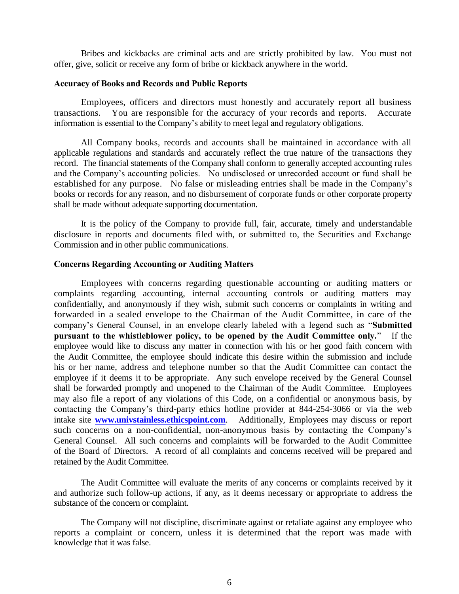Bribes and kickbacks are criminal acts and are strictly prohibited by law. You must not offer, give, solicit or receive any form of bribe or kickback anywhere in the world.

#### **Accuracy of Books and Records and Public Reports**

Employees, officers and directors must honestly and accurately report all business transactions. You are responsible for the accuracy of your records and reports. Accurate information is essential to the Company's ability to meet legal and regulatory obligations.

All Company books, records and accounts shall be maintained in accordance with all applicable regulations and standards and accurately reflect the true nature of the transactions they record. The financial statements of the Company shall conform to generally accepted accounting rules and the Company's accounting policies. No undisclosed or unrecorded account or fund shall be established for any purpose. No false or misleading entries shall be made in the Company's books or records for any reason, and no disbursement of corporate funds or other corporate property shall be made without adequate supporting documentation.

It is the policy of the Company to provide full, fair, accurate, timely and understandable disclosure in reports and documents filed with, or submitted to, the Securities and Exchange Commission and in other public communications.

### **Concerns Regarding Accounting or Auditing Matters**

Employees with concerns regarding questionable accounting or auditing matters or complaints regarding accounting, internal accounting controls or auditing matters may confidentially, and anonymously if they wish, submit such concerns or complaints in writing and forwarded in a sealed envelope to the Chairman of the Audit Committee, in care of the company's General Counsel, in an envelope clearly labeled with a legend such as "**Submitted pursuant to the whistleblower policy, to be opened by the Audit Committee only.**" If the employee would like to discuss any matter in connection with his or her good faith concern with the Audit Committee, the employee should indicate this desire within the submission and include his or her name, address and telephone number so that the Audit Committee can contact the employee if it deems it to be appropriate. Any such envelope received by the General Counsel shall be forwarded promptly and unopened to the Chairman of the Audit Committee. Employees may also file a report of any violations of this Code, on a confidential or anonymous basis, by contacting the Company's third-party ethics hotline provider at 844-254-3066 or via the web intake site **www.univstainless.ethicspoint.com**. Additionally, Employees may discuss or report such concerns on a non-confidential, non-anonymous basis by contacting the Company's General Counsel. All such concerns and complaints will be forwarded to the Audit Committee of the Board of Directors. A record of all complaints and concerns received will be prepared and retained by the Audit Committee.

The Audit Committee will evaluate the merits of any concerns or complaints received by it and authorize such follow-up actions, if any, as it deems necessary or appropriate to address the substance of the concern or complaint.

The Company will not discipline, discriminate against or retaliate against any employee who reports a complaint or concern, unless it is determined that the report was made with knowledge that it was false.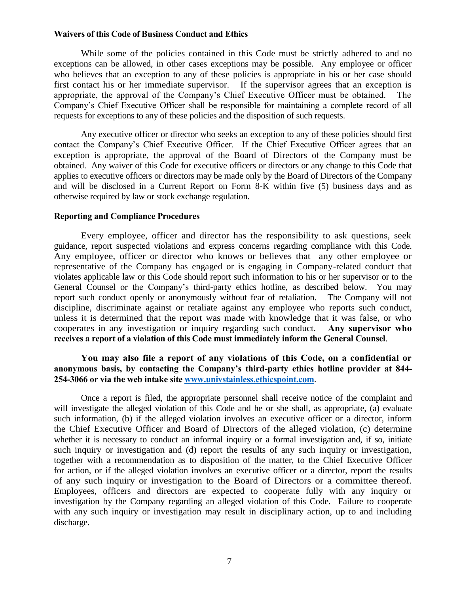#### **Waivers of this Code of Business Conduct and Ethics**

While some of the policies contained in this Code must be strictly adhered to and no exceptions can be allowed, in other cases exceptions may be possible. Any employee or officer who believes that an exception to any of these policies is appropriate in his or her case should first contact his or her immediate supervisor. If the supervisor agrees that an exception is appropriate, the approval of the Company's Chief Executive Officer must be obtained. The Company's Chief Executive Officer shall be responsible for maintaining a complete record of all requests for exceptions to any of these policies and the disposition of such requests.

Any executive officer or director who seeks an exception to any of these policies should first contact the Company's Chief Executive Officer. If the Chief Executive Officer agrees that an exception is appropriate, the approval of the Board of Directors of the Company must be obtained. Any waiver of this Code for executive officers or directors or any change to this Code that applies to executive officers or directors may be made only by the Board of Directors of the Company and will be disclosed in a Current Report on Form 8-K within five (5) business days and as otherwise required by law or stock exchange regulation.

#### **Reporting and Compliance Procedures**

Every employee, officer and director has the responsibility to ask questions, seek guidance, report suspected violations and express concerns regarding compliance with this Code. Any employee, officer or director who knows or believes that any other employee or representative of the Company has engaged or is engaging in Company-related conduct that violates applicable law or this Code should report such information to his or her supervisor or to the General Counsel or the Company's third-party ethics hotline, as described below. You may report such conduct openly or anonymously without fear of retaliation. The Company will not discipline, discriminate against or retaliate against any employee who reports such conduct, unless it is determined that the report was made with knowledge that it was false, or who cooperates in any investigation or inquiry regarding such conduct. **Any supervisor who receives a report of a violation of this Code must immediately inform the General Counsel**.

# **You may also file a report of any violations of this Code, on a confidential or anonymous basis, by contacting the Company's third-party ethics hotline provider at 844- 254-3066 or via the web intake site [www.univstainless.ethicspoint.com](file://///univstainless/bvl/HR/Kris%20Stuff/BUSINESS%20CONDUCT%20&%20ETHICS/2017/www.univstainless.ethicspoint.com)**.

Once a report is filed, the appropriate personnel shall receive notice of the complaint and will investigate the alleged violation of this Code and he or she shall, as appropriate, (a) evaluate such information, (b) if the alleged violation involves an executive officer or a director, inform the Chief Executive Officer and Board of Directors of the alleged violation, (c) determine whether it is necessary to conduct an informal inquiry or a formal investigation and, if so, initiate such inquiry or investigation and (d) report the results of any such inquiry or investigation, together with a recommendation as to disposition of the matter, to the Chief Executive Officer for action, or if the alleged violation involves an executive officer or a director, report the results of any such inquiry or investigation to the Board of Directors or a committee thereof. Employees, officers and directors are expected to cooperate fully with any inquiry or investigation by the Company regarding an alleged violation of this Code. Failure to cooperate with any such inquiry or investigation may result in disciplinary action, up to and including discharge.